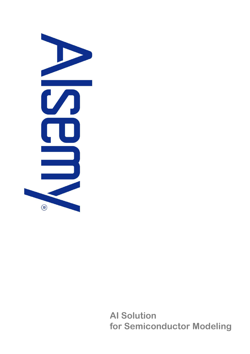

AI Solution for Semiconductor Modeling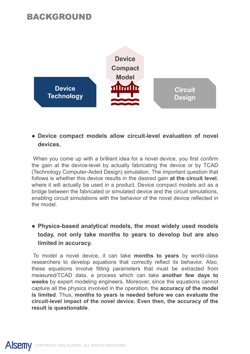## BACKGROUND



## devices.

**Follows is a strategy in the device results in the device results in the device results in the device results in the desired gain at the circuit level, the gain at the circuit gain at the device results in the device resu bevice**<br> **bridge between the fabric compact models allow circuit-level evaluation of novel<br>
devices.<br>
When you come up with a brilliant idea for a novel device, you first confirm<br>
the gain at the device-level by actually** Fraction Circuit<br>
Technology<br>
• Device compact models allow circuit-level evaluation of novel<br>
devices.<br>
When you come up with a brilliant idea for a novel device, you first confirm<br>
the gain at the device-level by actuall **Example 12**<br>
• Device compact models allow circuit-level evaluatevices.<br>
When you come up with a brilliant idea for a novel device,<br>
the gain at the device-level by actually fabricating the device-<br>
(Technology Computer-A ● Device compact models allow circuit-level evaluation of novel<br>devices.<br>When you come up with a brilliant idea for a novel device, you first confirm<br>the gain at the device-level by actually fabricating the device or by **Device compact models allow circuit-level evaluation of novel<br>devices.**<br>Then you come up with a brilliant idea for a novel device, you first confirm<br>equin at the device-level by actually fabricating the device or by TCAD<br> Device compact models allow circuit-level evaluation of<br>devices.<br>
Then you come up with a brilliant idea for a novel device, you first c<br>
be gain at the device-level by actually fabricating the device or by<br>
gain at the de When you come up with a brilliant idea for a novel device, you first confirm<br>
the gian at the device-level by actually fabricating the device or by TCAD<br>
Technology Computer-Aided Design) simulation. The important question When you come up with a brilliant idea for a novel device, you first confirm<br>the gain at the device-level by actually fabricating the device or by TCAD<br>(Technology Computer-Aided Design) simulation. The important question Well ry of Communications in a binanct deal of a involve level, you has comming the device from the device-level by actually fabricating the device or by TCAD (Technology Computer-Aided Design) simulation. The important qu

In a the device-level by a cudany and theore or by Computer. The ignal at the circuit level,<br>(Technology Computer-Aided Design) simulation. The important question that<br>follows is whether this device results in the desired (reclinionly) compute--xined bestign) simulation. The imploriant question tract follows is whether this device results in the desired gain at the circuit level, where it will actually be used in a product. Device compact m Now is where it in structure in the uses the more than the contract between the fabrical person in the compact models act as a bridge between the fabricated or simulated device and the circuit simulations, enabling circuit where it will acutatury be used in a ploutout. Devive compact into uses out as a<br>bridge between the fabricated or simulated device and the circuit simulations,<br>enabling circuit simulations with the behavior of the novel de broady enter the radiotect of simulated device and the circuit simulations, enabling circuit simulations with the behavior of the novel device reflected in the model.<br>
• Physics-based analytical models, the most widely use **• Physics-based analytical models, the most widely use today, not only take months to years to develop but limited in accuracy.**<br>To model a novel device, it can take **months to years** by test to model a novel device, it c

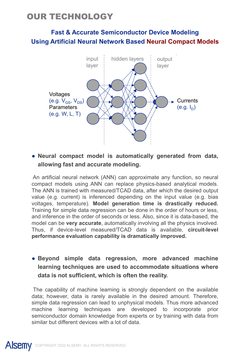# **OUR TECHNOLOGY<br>Fast & Accurate Semiconductor Device Modeling<br>Using Artificial Neural Network Based Neural Compact Mode** Fast & Accurate Semiconductor Device Modeling Using Artificial Neural Network Based Neural Compact Models



• Neural compact model is automatically generated from data,<br>allowing fast and accurate modeling.<br>An artificial neural network (ANN) can approximate any function, so neural<br>compact models using ANN can replace physics-base **Example 12** and a coural modelling.<br> **Example 12** and a coural modelling.<br>
The artificial neural network (ANN) can approximate any function, so neural<br>
matricial neural network (ANN) can approximate any function, so neura and a matificial neural experimentation in a matificial neural entwork (ANN) can approximate any function, so neural<br>e ANN is trained with measured/TCAD data, after which the desired output<br>lue (e.g. current) is inferenced voltages<br>
(e.g. V<sub>OS</sub>, V<sub>OS</sub>)<br>
Parameters<br>
(e.g. W, L, T)<br> **e.g. W, L, T)**<br> **e.g. W, L, T)**<br> **e.g. W, L, T)**<br> **e.g. W, L, T)**<br> **e.g. W, L, T)**<br> **e.g. W, L, T)**<br> **e.g. W, L, T)**<br> **e.g. W, L, T)**<br> **e.g. W, L, T)**<br> **e.g. W,** Training for simple data regression can be done in the order of hours or less, **and inference in the order of seconds or less.** (e.g.  $I_D$ )<br> **e.g.** W, L, T)<br> **e.g.** W, L, T)<br> **e.g.** Interficial neural network (ANN) can approximate any function, so neural<br>
compact models using ANN can replace physics **Example 19.** We set the automatically generated from data, allowing fast and accurate modeling.<br>An artificial neural network (ANN) can approximate any function, so neural compact models using ANN can replace physics-based • Neural compact model is automatically generated from data,<br>allowing fast and accurate modeling.<br>An artificial neural network (ANN) can approximate any function, so neural<br>compact models using ANN can replace physics-base **• Neural compact model is automatically generated from data, allowing fast and accurate modeling.**<br>An artificial neural network (ANN) can approximate any function, so neural compact models using ANN can replace physics-ba compact models using ANN can replace physics-based analytical models.<br>The ANN is trained with measured/TCAD data, after which the desired output<br>value (e.g. current) is inferenced depending on the input value (e.g. bias<br>vo The ANN is trained with measured/TCAD data, after which the desired output<br>voltages, current) is inferenced depending on the input value (e.g. bias<br>voltages, temperature). Model generation time is drastically reduced.<br>Trai value (e.g. current) is inferenced depending on the input value (e.g. bias<br>voltages, temperature). Model generation time is drastically reduced.<br>Training for simple data regression can be done in the order of hours or less voltages, temperature). Model generation time is drastically reduced.<br>Training for simple data regression can be done in the order of hours or less.<br>and inference in the order of seconds or less. Also, since it is data-bas

Training for simple data regression can be done in the order of hours or less,<br>and inference in the order of seconds or less. Also, since it is data-based, the<br>model can be very accurate, automatically involving all the ph and inference in the order of seconds or less. Also, since it is data-based, the model can be **very accurate**, automatically involving all the physics involved.<br>Thus, if device-level measured/TCAD data is available, **circu**